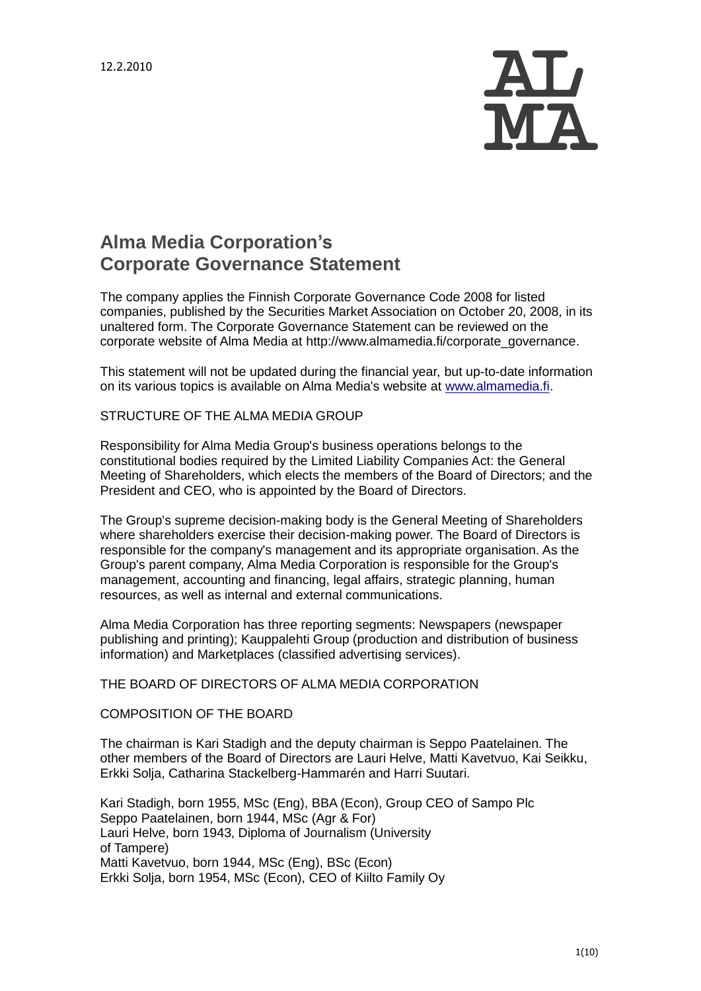

# **Alma Media Corporation's Corporate Governance Statement**

The company applies the Finnish Corporate Governance Code 2008 for listed companies, published by the Securities Market Association on October 20, 2008, in its unaltered form. The Corporate Governance Statement can be reviewed on the corporate website of Alma Media at [http://www.almamedia.fi/corporate\\_governance.](http://www.almamedia.fi/corporate_governance)

This statement will not be updated during the financial year, but up-to-date information on its various topics is available on Alma Media's website at [www.almamedia.fi.](http://www.almamedia.fi/)

STRUCTURE OF THE ALMA MEDIA GROUP

Responsibility for Alma Media Group's business operations belongs to the constitutional bodies required by the Limited Liability Companies Act: the General Meeting of Shareholders, which elects the members of the Board of Directors; and the President and CEO, who is appointed by the Board of Directors.

The Group's supreme decision-making body is the General Meeting of Shareholders where shareholders exercise their decision-making power. The Board of Directors is responsible for the company's management and its appropriate organisation. As the Group's parent company, Alma Media Corporation is responsible for the Group's management, accounting and financing, legal affairs, strategic planning, human resources, as well as internal and external communications.

Alma Media Corporation has three reporting segments: Newspapers (newspaper publishing and printing); Kauppalehti Group (production and distribution of business information) and Marketplaces (classified advertising services).

THE BOARD OF DIRECTORS OF ALMA MEDIA CORPORATION

COMPOSITION OF THE BOARD

The chairman is Kari Stadigh and the deputy chairman is Seppo Paatelainen. The other members of the Board of Directors are Lauri Helve, Matti Kavetvuo, Kai Seikku, Erkki Solja, Catharina Stackelberg-Hammarén and Harri Suutari.

Kari Stadigh, born 1955, MSc (Eng), BBA (Econ), Group CEO of Sampo Plc Seppo Paatelainen, born 1944, MSc (Agr & For) Lauri Helve, born 1943, Diploma of Journalism (University of Tampere) Matti Kavetvuo, born 1944, MSc (Eng), BSc (Econ) Erkki Solja, born 1954, MSc (Econ), CEO of Kiilto Family Oy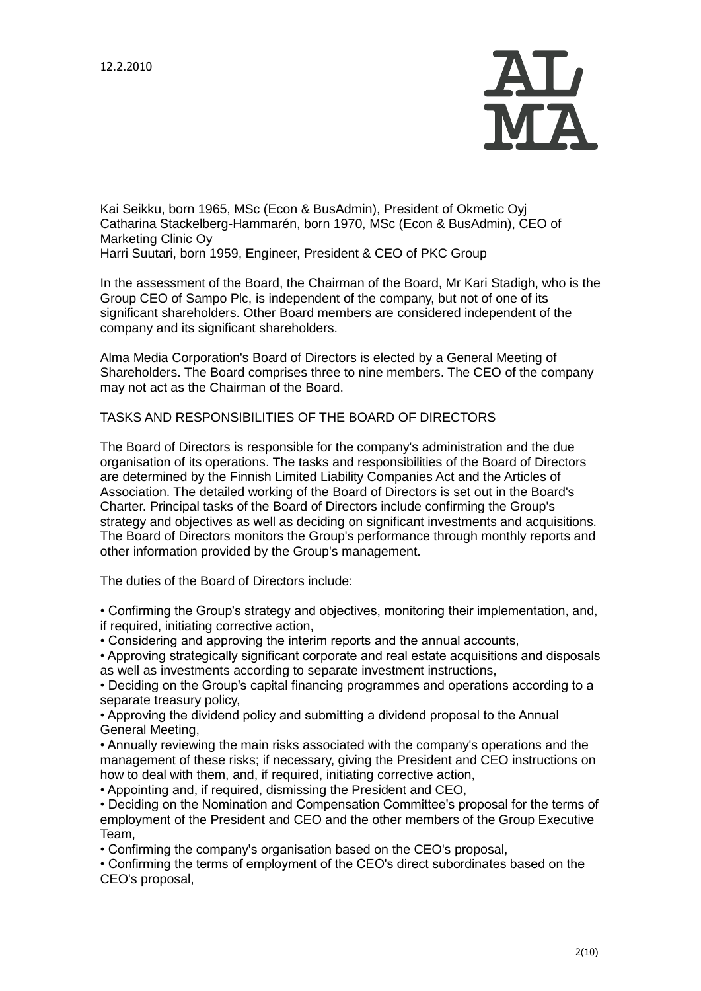

Kai Seikku, born 1965, MSc (Econ & BusAdmin), President of Okmetic Oyj Catharina Stackelberg-Hammarén, born 1970, MSc (Econ & BusAdmin), CEO of Marketing Clinic Oy Harri Suutari, born 1959, Engineer, President & CEO of PKC Group

In the assessment of the Board, the Chairman of the Board, Mr Kari Stadigh, who is the Group CEO of Sampo Plc, is independent of the company, but not of one of its significant shareholders. Other Board members are considered independent of the company and its significant shareholders.

Alma Media Corporation's Board of Directors is elected by a General Meeting of Shareholders. The Board comprises three to nine members. The CEO of the company may not act as the Chairman of the Board.

TASKS AND RESPONSIBILITIES OF THE BOARD OF DIRECTORS

The Board of Directors is responsible for the company's administration and the due organisation of its operations. The tasks and responsibilities of the Board of Directors are determined by the Finnish Limited Liability Companies Act and the Articles of Association. The detailed working of the Board of Directors is set out in the Board's Charter. Principal tasks of the Board of Directors include confirming the Group's strategy and objectives as well as deciding on significant investments and acquisitions. The Board of Directors monitors the Group's performance through monthly reports and other information provided by the Group's management.

The duties of the Board of Directors include:

• Confirming the Group's strategy and objectives, monitoring their implementation, and, if required, initiating corrective action,

• Considering and approving the interim reports and the annual accounts,

• Approving strategically significant corporate and real estate acquisitions and disposals as well as investments according to separate investment instructions,

• Deciding on the Group's capital financing programmes and operations according to a separate treasury policy,

• Approving the dividend policy and submitting a dividend proposal to the Annual General Meeting,

• Annually reviewing the main risks associated with the company's operations and the management of these risks; if necessary, giving the President and CEO instructions on how to deal with them, and, if required, initiating corrective action,

• Appointing and, if required, dismissing the President and CEO,

• Deciding on the Nomination and Compensation Committee's proposal for the terms of employment of the President and CEO and the other members of the Group Executive Team,

• Confirming the company's organisation based on the CEO's proposal,

• Confirming the terms of employment of the CEO's direct subordinates based on the CEO's proposal,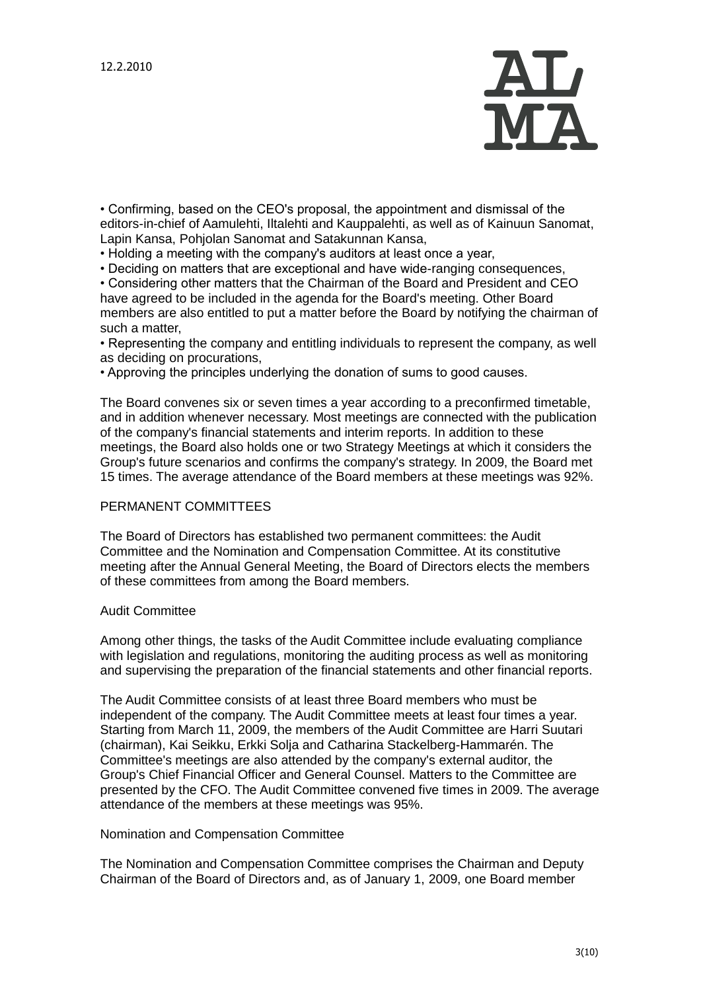

• Confirming, based on the CEO's proposal, the appointment and dismissal of the editors-in-chief of Aamulehti, Iltalehti and Kauppalehti, as well as of Kainuun Sanomat, Lapin Kansa, Pohjolan Sanomat and Satakunnan Kansa,

• Holding a meeting with the company's auditors at least once a year,

• Deciding on matters that are exceptional and have wide-ranging consequences,

• Considering other matters that the Chairman of the Board and President and CEO have agreed to be included in the agenda for the Board's meeting. Other Board members are also entitled to put a matter before the Board by notifying the chairman of such a matter,

• Representing the company and entitling individuals to represent the company, as well as deciding on procurations,

• Approving the principles underlying the donation of sums to good causes.

The Board convenes six or seven times a year according to a preconfirmed timetable, and in addition whenever necessary. Most meetings are connected with the publication of the company's financial statements and interim reports. In addition to these meetings, the Board also holds one or two Strategy Meetings at which it considers the Group's future scenarios and confirms the company's strategy. In 2009, the Board met 15 times. The average attendance of the Board members at these meetings was 92%.

#### PERMANENT COMMITTEES

The Board of Directors has established two permanent committees: the Audit Committee and the Nomination and Compensation Committee. At its constitutive meeting after the Annual General Meeting, the Board of Directors elects the members of these committees from among the Board members.

#### Audit Committee

Among other things, the tasks of the Audit Committee include evaluating compliance with legislation and regulations, monitoring the auditing process as well as monitoring and supervising the preparation of the financial statements and other financial reports.

The Audit Committee consists of at least three Board members who must be independent of the company. The Audit Committee meets at least four times a year. Starting from March 11, 2009, the members of the Audit Committee are Harri Suutari (chairman), Kai Seikku, Erkki Solja and Catharina Stackelberg-Hammarén. The Committee's meetings are also attended by the company's external auditor, the Group's Chief Financial Officer and General Counsel. Matters to the Committee are presented by the CFO. The Audit Committee convened five times in 2009. The average attendance of the members at these meetings was 95%.

#### Nomination and Compensation Committee

The Nomination and Compensation Committee comprises the Chairman and Deputy Chairman of the Board of Directors and, as of January 1, 2009, one Board member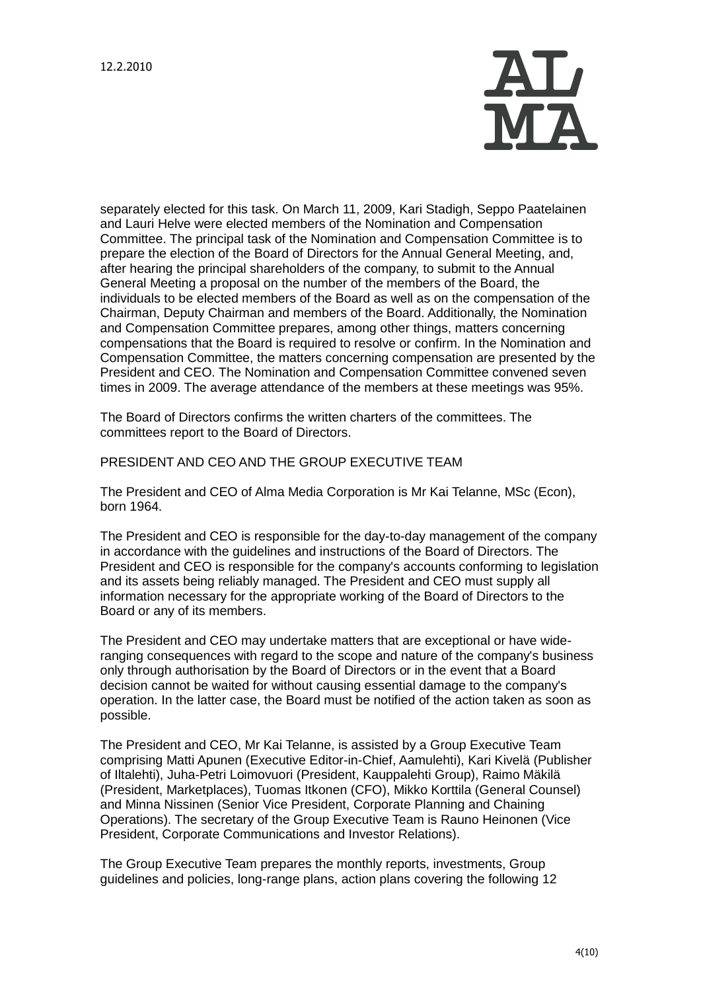

separately elected for this task. On March 11, 2009, Kari Stadigh, Seppo Paatelainen and Lauri Helve were elected members of the Nomination and Compensation Committee. The principal task of the Nomination and Compensation Committee is to prepare the election of the Board of Directors for the Annual General Meeting, and, after hearing the principal shareholders of the company, to submit to the Annual General Meeting a proposal on the number of the members of the Board, the individuals to be elected members of the Board as well as on the compensation of the Chairman, Deputy Chairman and members of the Board. Additionally, the Nomination and Compensation Committee prepares, among other things, matters concerning compensations that the Board is required to resolve or confirm. In the Nomination and Compensation Committee, the matters concerning compensation are presented by the President and CEO. The Nomination and Compensation Committee convened seven times in 2009. The average attendance of the members at these meetings was 95%.

The Board of Directors confirms the written charters of the committees. The committees report to the Board of Directors.

# PRESIDENT AND CEO AND THE GROUP EXECUTIVE TEAM

The President and CEO of Alma Media Corporation is Mr Kai Telanne, MSc (Econ), born 1964.

The President and CEO is responsible for the day-to-day management of the company in accordance with the guidelines and instructions of the Board of Directors. The President and CEO is responsible for the company's accounts conforming to legislation and its assets being reliably managed. The President and CEO must supply all information necessary for the appropriate working of the Board of Directors to the Board or any of its members.

The President and CEO may undertake matters that are exceptional or have wideranging consequences with regard to the scope and nature of the company's business only through authorisation by the Board of Directors or in the event that a Board decision cannot be waited for without causing essential damage to the company's operation. In the latter case, the Board must be notified of the action taken as soon as possible.

The President and CEO, Mr Kai Telanne, is assisted by a Group Executive Team comprising Matti Apunen (Executive Editor-in-Chief, Aamulehti), Kari Kivelä (Publisher of Iltalehti), Juha-Petri Loimovuori (President, Kauppalehti Group), Raimo Mäkilä (President, Marketplaces), Tuomas Itkonen (CFO), Mikko Korttila (General Counsel) and Minna Nissinen (Senior Vice President, Corporate Planning and Chaining Operations). The secretary of the Group Executive Team is Rauno Heinonen (Vice President, Corporate Communications and Investor Relations).

The Group Executive Team prepares the monthly reports, investments, Group guidelines and policies, long-range plans, action plans covering the following 12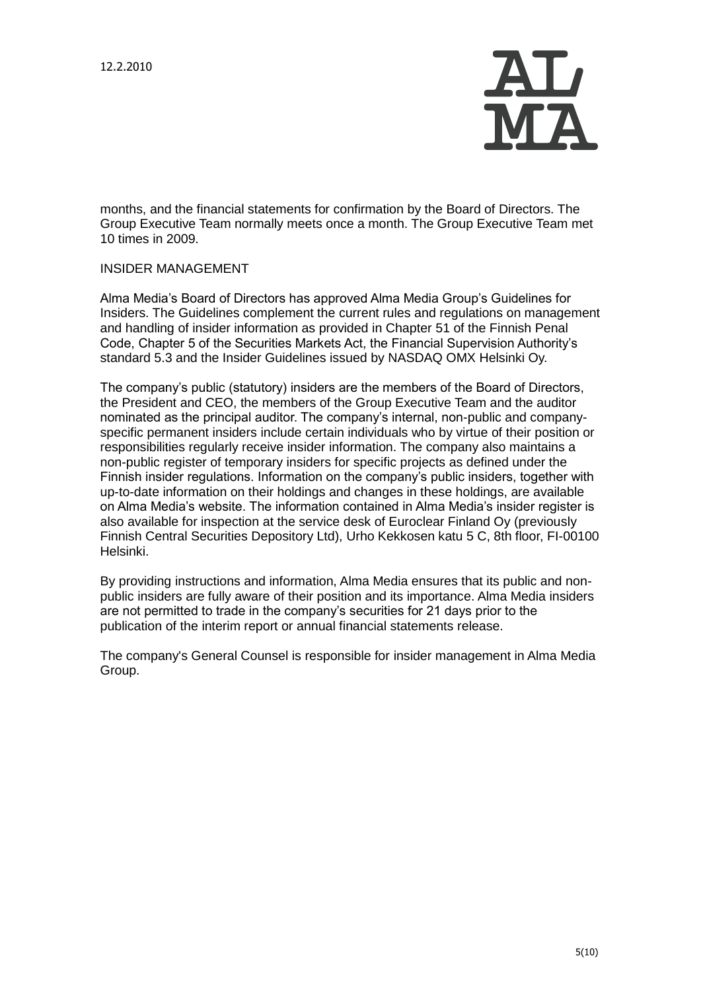

months, and the financial statements for confirmation by the Board of Directors. The Group Executive Team normally meets once a month. The Group Executive Team met 10 times in 2009.

#### INSIDER MANAGEMENT

Alma Media's Board of Directors has approved Alma Media Group's Guidelines for Insiders. The Guidelines complement the current rules and regulations on management and handling of insider information as provided in Chapter 51 of the Finnish Penal Code, Chapter 5 of the Securities Markets Act, the Financial Supervision Authority's standard 5.3 and the Insider Guidelines issued by NASDAQ OMX Helsinki Oy.

The company's public (statutory) insiders are the members of the Board of Directors, the President and CEO, the members of the Group Executive Team and the auditor nominated as the principal auditor. The company's internal, non-public and companyspecific permanent insiders include certain individuals who by virtue of their position or responsibilities regularly receive insider information. The company also maintains a non-public register of temporary insiders for specific projects as defined under the Finnish insider regulations. Information on the company's public insiders, together with up-to-date information on their holdings and changes in these holdings, are available on Alma Media's website. The information contained in Alma Media's insider register is also available for inspection at the service desk of Euroclear Finland Oy (previously Finnish Central Securities Depository Ltd), Urho Kekkosen katu 5 C, 8th floor, FI-00100 Helsinki.

By providing instructions and information, Alma Media ensures that its public and nonpublic insiders are fully aware of their position and its importance. Alma Media insiders are not permitted to trade in the company's securities for 21 days prior to the publication of the interim report or annual financial statements release.

The company's General Counsel is responsible for insider management in Alma Media Group.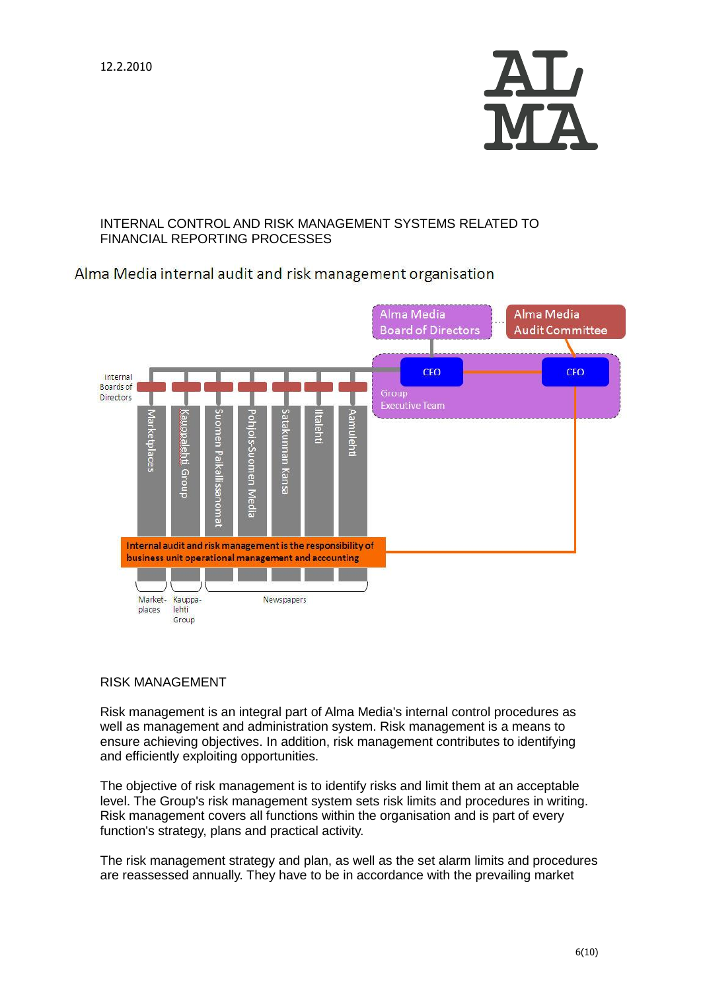

# INTERNAL CONTROL AND RISK MANAGEMENT SYSTEMS RELATED TO FINANCIAL REPORTING PROCESSES

# Alma Media internal audit and risk management organisation



# RISK MANAGEMENT

Risk management is an integral part of Alma Media's internal control procedures as well as management and administration system. Risk management is a means to ensure achieving objectives. In addition, risk management contributes to identifying and efficiently exploiting opportunities.

The objective of risk management is to identify risks and limit them at an acceptable level. The Group's risk management system sets risk limits and procedures in writing. Risk management covers all functions within the organisation and is part of every function's strategy, plans and practical activity.

The risk management strategy and plan, as well as the set alarm limits and procedures are reassessed annually. They have to be in accordance with the prevailing market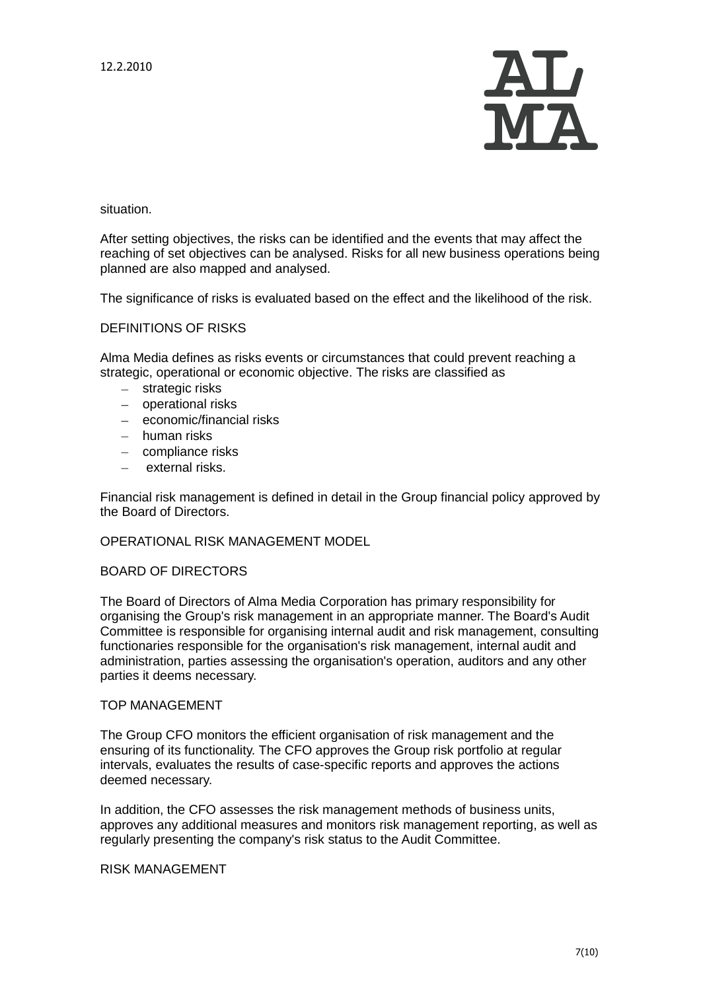

situation.

After setting objectives, the risks can be identified and the events that may affect the reaching of set objectives can be analysed. Risks for all new business operations being planned are also mapped and analysed.

The significance of risks is evaluated based on the effect and the likelihood of the risk.

#### DEFINITIONS OF RISKS

Alma Media defines as risks events or circumstances that could prevent reaching a strategic, operational or economic objective. The risks are classified as

- strategic risks
- operational risks
- economic/financial risks
- human risks
- $-$  compliance risks
- $-$  external risks.

Financial risk management is defined in detail in the Group financial policy approved by the Board of Directors.

OPERATIONAL RISK MANAGEMENT MODEL

#### BOARD OF DIRECTORS

The Board of Directors of Alma Media Corporation has primary responsibility for organising the Group's risk management in an appropriate manner. The Board's Audit Committee is responsible for organising internal audit and risk management, consulting functionaries responsible for the organisation's risk management, internal audit and administration, parties assessing the organisation's operation, auditors and any other parties it deems necessary.

## TOP MANAGEMENT

The Group CFO monitors the efficient organisation of risk management and the ensuring of its functionality. The CFO approves the Group risk portfolio at regular intervals, evaluates the results of case-specific reports and approves the actions deemed necessary.

In addition, the CFO assesses the risk management methods of business units, approves any additional measures and monitors risk management reporting, as well as regularly presenting the company's risk status to the Audit Committee.

RISK MANAGEMENT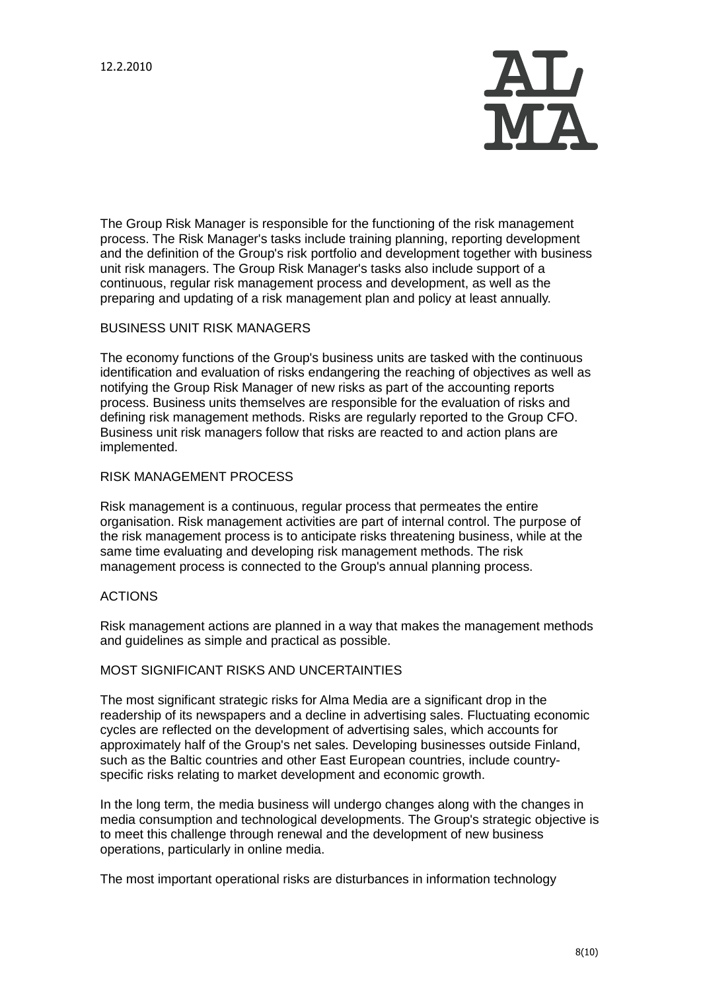

The Group Risk Manager is responsible for the functioning of the risk management process. The Risk Manager's tasks include training planning, reporting development and the definition of the Group's risk portfolio and development together with business unit risk managers. The Group Risk Manager's tasks also include support of a continuous, regular risk management process and development, as well as the preparing and updating of a risk management plan and policy at least annually.

### BUSINESS UNIT RISK MANAGERS

The economy functions of the Group's business units are tasked with the continuous identification and evaluation of risks endangering the reaching of objectives as well as notifying the Group Risk Manager of new risks as part of the accounting reports process. Business units themselves are responsible for the evaluation of risks and defining risk management methods. Risks are regularly reported to the Group CFO. Business unit risk managers follow that risks are reacted to and action plans are implemented.

## RISK MANAGEMENT PROCESS

Risk management is a continuous, regular process that permeates the entire organisation. Risk management activities are part of internal control. The purpose of the risk management process is to anticipate risks threatening business, while at the same time evaluating and developing risk management methods. The risk management process is connected to the Group's annual planning process.

#### **ACTIONS**

Risk management actions are planned in a way that makes the management methods and guidelines as simple and practical as possible.

#### MOST SIGNIFICANT RISKS AND UNCERTAINTIES

The most significant strategic risks for Alma Media are a significant drop in the readership of its newspapers and a decline in advertising sales. Fluctuating economic cycles are reflected on the development of advertising sales, which accounts for approximately half of the Group's net sales. Developing businesses outside Finland, such as the Baltic countries and other East European countries, include countryspecific risks relating to market development and economic growth.

In the long term, the media business will undergo changes along with the changes in media consumption and technological developments. The Group's strategic objective is to meet this challenge through renewal and the development of new business operations, particularly in online media.

The most important operational risks are disturbances in information technology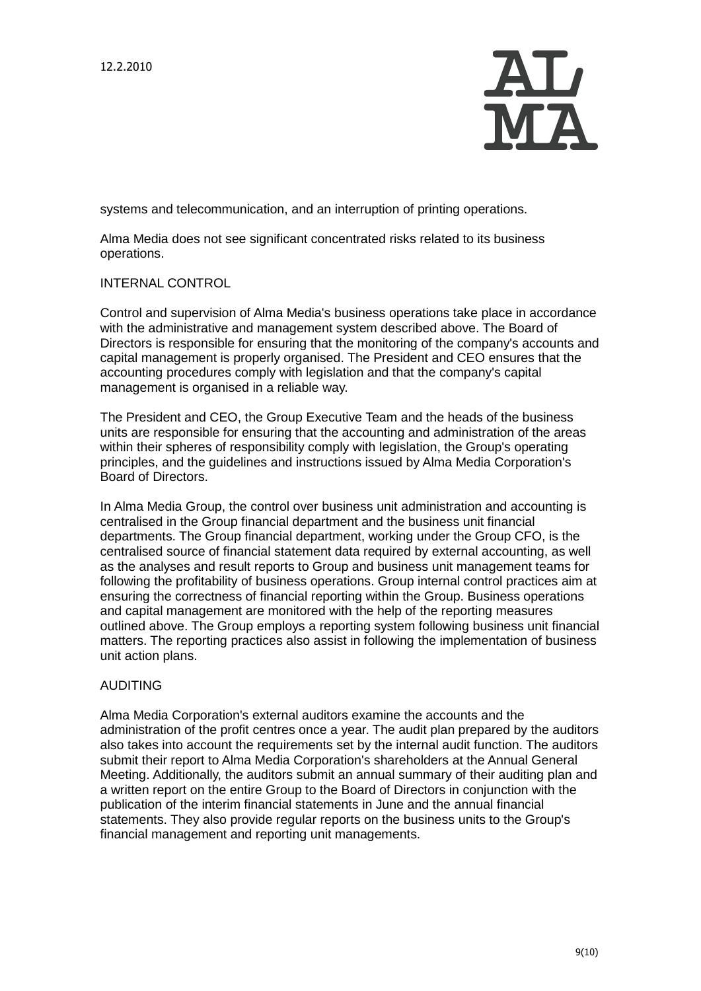

systems and telecommunication, and an interruption of printing operations.

Alma Media does not see significant concentrated risks related to its business operations.

# INTERNAL CONTROL

Control and supervision of Alma Media's business operations take place in accordance with the administrative and management system described above. The Board of Directors is responsible for ensuring that the monitoring of the company's accounts and capital management is properly organised. The President and CEO ensures that the accounting procedures comply with legislation and that the company's capital management is organised in a reliable way.

The President and CEO, the Group Executive Team and the heads of the business units are responsible for ensuring that the accounting and administration of the areas within their spheres of responsibility comply with legislation, the Group's operating principles, and the guidelines and instructions issued by Alma Media Corporation's Board of Directors.

In Alma Media Group, the control over business unit administration and accounting is centralised in the Group financial department and the business unit financial departments. The Group financial department, working under the Group CFO, is the centralised source of financial statement data required by external accounting, as well as the analyses and result reports to Group and business unit management teams for following the profitability of business operations. Group internal control practices aim at ensuring the correctness of financial reporting within the Group. Business operations and capital management are monitored with the help of the reporting measures outlined above. The Group employs a reporting system following business unit financial matters. The reporting practices also assist in following the implementation of business unit action plans.

# AUDITING

Alma Media Corporation's external auditors examine the accounts and the administration of the profit centres once a year. The audit plan prepared by the auditors also takes into account the requirements set by the internal audit function. The auditors submit their report to Alma Media Corporation's shareholders at the Annual General Meeting. Additionally, the auditors submit an annual summary of their auditing plan and a written report on the entire Group to the Board of Directors in conjunction with the publication of the interim financial statements in June and the annual financial statements. They also provide regular reports on the business units to the Group's financial management and reporting unit managements.